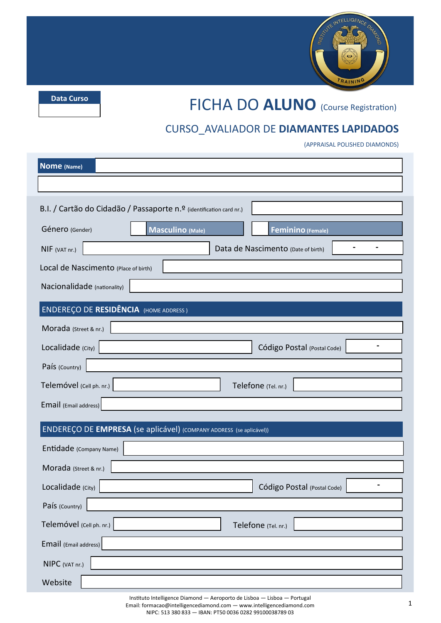

**Data Curso**

# FICHA DO **ALUNO** (Course Registration)

#### CURSO\_AVALIADOR DE **DIAMANTES LAPIDADOS**

(APPRAISAL POLISHED DIAMONDS)

| Nome (Name)                                                         |                                       |  |  |  |  |
|---------------------------------------------------------------------|---------------------------------------|--|--|--|--|
|                                                                     |                                       |  |  |  |  |
| B.I. / Cartão do Cidadão / Passaporte n.º (identification card nr.) |                                       |  |  |  |  |
| Género (Gender)                                                     | Masculino (Male)<br>Feminino (Female) |  |  |  |  |
| NIF (VAT nr.)                                                       | Data de Nascimento (Date of birth)    |  |  |  |  |
| Local de Nascimento (Place of birth)                                |                                       |  |  |  |  |
| Nacionalidade (nationality)                                         |                                       |  |  |  |  |
| <b>ENDEREÇO DE RESIDÊNCIA</b> (HOME ADDRESS)                        |                                       |  |  |  |  |
| Morada (Street & nr.)                                               |                                       |  |  |  |  |
| Localidade (City)                                                   | Código Postal (Postal Code)           |  |  |  |  |
| País (Country)                                                      |                                       |  |  |  |  |
| Telemóvel (Cell ph. nr.)                                            | Telefone (Tel. nr.)                   |  |  |  |  |
| Email (Email address)                                               |                                       |  |  |  |  |
| ENDEREÇO DE EMPRESA (se aplicável) (COMPANY ADDRESS (se aplicável)) |                                       |  |  |  |  |
| Entidade (Company Name)                                             |                                       |  |  |  |  |
| Morada (Street & nr.)                                               |                                       |  |  |  |  |
| Localidade (City)                                                   | Código Postal (Postal Code)           |  |  |  |  |
| País (Country)                                                      |                                       |  |  |  |  |
| Telemóvel (Cell ph. nr.)                                            | Telefone (Tel. nr.)                   |  |  |  |  |
| Email (Email address)                                               |                                       |  |  |  |  |
| NIPC (VAT nr.)                                                      |                                       |  |  |  |  |
| Website                                                             |                                       |  |  |  |  |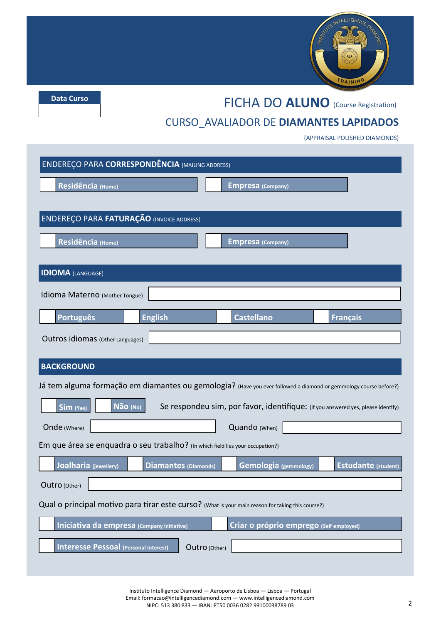

**Data Curso**

#### FICHA DO **ALUNO** (Course Registration)

### CURSO\_AVALIADOR DE **DIAMANTES LAPIDADOS**

(APPRAISAL POLISHED DIAMONDS)

| <b>ENDEREÇO PARA CORRESPONDÊNCIA (MAILING ADDRESS)</b>                                                           |                             |                                         |                            |  |  |
|------------------------------------------------------------------------------------------------------------------|-----------------------------|-----------------------------------------|----------------------------|--|--|
| Residência (Home)                                                                                                |                             | <b>Empresa</b> (Company)                |                            |  |  |
|                                                                                                                  |                             |                                         |                            |  |  |
| <b>ENDEREÇO PARA FATURAÇÃO (INVOICE ADDRESS)</b>                                                                 |                             |                                         |                            |  |  |
| Residência (Home)                                                                                                |                             | <b>Empresa</b> (Company)                |                            |  |  |
| <b>IDIOMA</b> (LANGUAGE)                                                                                         |                             |                                         |                            |  |  |
| Idioma Materno (Mother Tongue)                                                                                   |                             |                                         |                            |  |  |
| <b>Português</b><br><b>English</b>                                                                               |                             | <b>Castellano</b>                       | <b>Français</b>            |  |  |
| Outros idiomas (Other Languages)                                                                                 |                             |                                         |                            |  |  |
| <b>BACKGROUND</b>                                                                                                |                             |                                         |                            |  |  |
| Já tem alguma formação em diamantes ou gemologia? (Have you ever followed a diamond or gemmology course before?) |                             |                                         |                            |  |  |
| Não (No)<br>Se respondeu sim, por favor, identifique: (If you answered yes, please identify)<br>Sim (Yes)        |                             |                                         |                            |  |  |
| Quando (When)<br>Onde (Where)                                                                                    |                             |                                         |                            |  |  |
| Em que área se enquadra o seu trabalho? (In which field lies your occupation?)                                   |                             |                                         |                            |  |  |
| Joalharia (jewellery)                                                                                            | <b>Diamantes (Diamonds)</b> | <b>Gemologia</b> (gemmology)            | <b>Estudante (student)</b> |  |  |
| Outro (Other)                                                                                                    |                             |                                         |                            |  |  |
| Qual o principal motivo para tirar este curso? (What is your main reason for taking this course?)                |                             |                                         |                            |  |  |
| Iniciativa da empresa (Company initiative)                                                                       |                             | Criar o próprio emprego (Self employed) |                            |  |  |
| <b>Interesse Pessoal (Personal Interest)</b><br>Outro (Other)                                                    |                             |                                         |                            |  |  |
|                                                                                                                  |                             |                                         |                            |  |  |

Instituto Intelligence Diamond — Aeroporto de Lisboa — Lisboa — Portugal Email: formacao@intelligencediamond.com — www.intelligencediamond.com NIPC: 513 380 833 — IBAN: PT50 0036 0282 99100038789 03